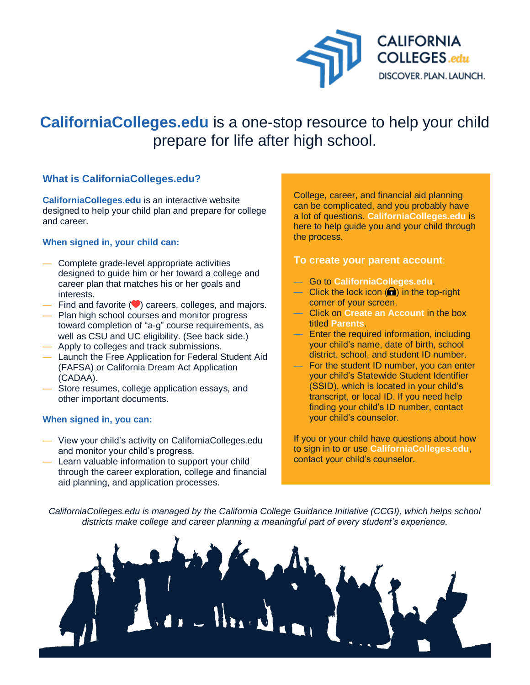

# **CaliforniaColleges.edu** is a one-stop resource to help your child prepare for life after high school.

## **What is CaliforniaColleges.edu?**

**CaliforniaColleges.edu** is an interactive website designed to help your child plan and prepare for college and career.

### **When signed in, your child can:**

- Complete grade-level appropriate activities designed to guide him or her toward a college and career plan that matches his or her goals and interests.
- $-$  Find and favorite  $\left( \bigtriangledown \right)$  careers, colleges, and majors.
- Plan high school courses and monitor progress toward completion of "a-g" course requirements, as well as CSU and UC eligibility. (See back side.)
- Apply to colleges and track submissions.
- Launch the Free Application for Federal Student Aid (FAFSA) or California Dream Act Application (CADAA).
- Store resumes, college application essays, and other important documents.

#### **When signed in, you can:**

- View your child's activity on CaliforniaColleges.edu and monitor your child's progress.
- Learn valuable information to support your child through the career exploration, college and financial aid planning, and application processes.

College, career, and financial aid planning can be complicated, and you probably have a lot of questions. **CaliforniaColleges.edu** is here to help guide you and your child through the process.

### **To create your parent account**:

- Go to **CaliforniaColleges.edu**.
- Click the lock icon  $\left( \bigcap \right)$  in the top-right corner of your screen.
- Click on **Create an Account** in the box titled **Parents**.
- Enter the required information, including your child's name, date of birth, school district, school, and student ID number.
- For the student ID number, you can enter your child's Statewide Student Identifier (SSID), which is located in your child's transcript, or local ID. If you need help finding your child's ID number, contact your child's counselor.

If you or your child have questions about how to sign in to or use **CaliforniaColleges.edu**, contact your child's counselor.

*CaliforniaColleges.edu is managed by the California College Guidance Initiative (CCGI), which helps school districts make college and career planning a meaningful part of every student's experience.*